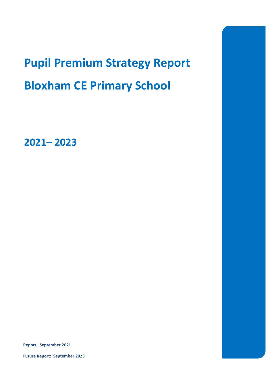# **Pupil Premium Strategy Report Bloxham CE Primary School**

**2021– 2023**

**Report: September 2021**

**Future Report: September 2023**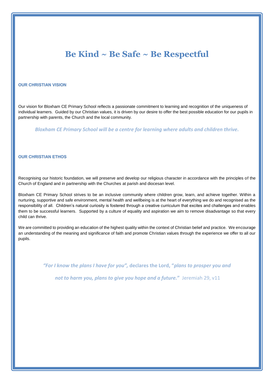# **Be Kind ~ Be Safe ~ Be Respectful**

#### **OUR CHRISTIAN VISION**

Our vision for Bloxham CE Primary School reflects a passionate commitment to learning and recognition of the uniqueness of individual learners. Guided by our Christian values, it is driven by our desire to offer the best possible education for our pupils in partnership with parents, the Church and the local community.

*Bloxham CE Primary School will be a centre for learning where adults and children thrive.*

#### **OUR CHRISTIAN ETHOS**

Recognising our historic foundation, we will preserve and develop our religious character in accordance with the principles of the Church of England and in partnership with the Churches at parish and diocesan level.

Bloxham CE Primary School strives to be an inclusive community where children grow, learn, and achieve together. Within a nurturing, supportive and safe environment, mental health and wellbeing is at the heart of everything we do and recognised as the responsibility of all. Children's natural curiosity is fostered through a creative curriculum that excites and challenges and enables them to be successful learners. Supported by a culture of equality and aspiration we aim to remove disadvantage so that every child can thrive.

We are committed to providing an education of the highest quality within the context of Christian belief and practice. We encourage an understanding of the meaning and significance of faith and promote Christian values through the experience we offer to all our pupils.

*"For I know the plans I have for you",* **declares the Lord, "***plans to prosper you and*

*not to harm you, plans to give you hope and a future.***"** Jeremiah 29, v11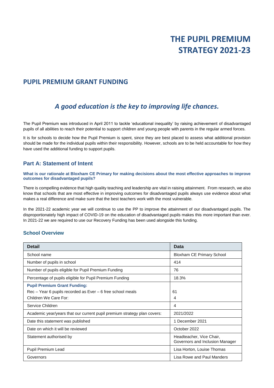## **PUPIL PREMIUM GRANT FUNDING**

# *A good education is the key to improving life chances.*

The Pupil Premium was introduced in April 2011 to tackle 'educational inequality' by raising achievement of disadvantaged pupils of all abilities to reach their potential to support children and young people with parents in the regular armed forces.

It is for schools to decide how the Pupil Premium is spent, since they are best placed to assess what additional provision should be made for the individual pupils within their responsibility. However, schools are to be held accountable for how they have used the additional funding to support pupils.

## **Part A: Statement of Intent**

**What is our rationale at Bloxham CE Primary for making decisions about the most effective approaches to improve outcomes for disadvantaged pupils?**

There is compelling evidence that high quality teaching and leadership are vital in raising attainment. From research, we also know that schools that are most effective in improving outcomes for disadvantaged pupils always use evidence about what makes a real difference and make sure that the best teachers work with the most vulnerable.

In the 2021-22 academic year we will continue to use the PP to improve the attainment of our disadvantaged pupils. The disproportionately high impact of COVID-19 on the education of disadvantaged pupils makes this more important than ever. In 2021-22 we are required to use our Recovery Funding has been used alongside this funding.

## **School Overview**

| <b>Detail</b>                                                                                                                  | <b>Data</b>                                                 |
|--------------------------------------------------------------------------------------------------------------------------------|-------------------------------------------------------------|
| School name                                                                                                                    | <b>Bloxham CE Primary School</b>                            |
| Number of pupils in school                                                                                                     | 414                                                         |
| Number of pupils eligible for Pupil Premium Funding                                                                            | 76                                                          |
| Percentage of pupils eligible for Pupil Premium Funding                                                                        | 18.3%                                                       |
| <b>Pupil Premium Grant Funding:</b><br>$Rec - Year$ 6 pupils recorded as $Even - 6$ free school meals<br>Children We Care For: | 61<br>4                                                     |
| Service Children                                                                                                               | 4                                                           |
| Academic year/years that our current pupil premium strategy plan covers:                                                       | 2021/2022                                                   |
| Date this statement was published                                                                                              | 1 December 2021                                             |
| Date on which it will be reviewed                                                                                              | October 2022                                                |
| Statement authorised by                                                                                                        | Headteacher, Vice Chair,<br>Governors and Inclusion Manager |
| Pupil Premium Lead                                                                                                             | Lisa Horton, Louise Thomas                                  |
| Governors                                                                                                                      | Lisa Rowe and Paul Manders                                  |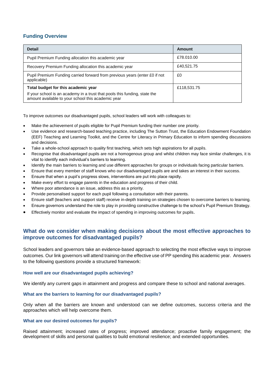## **Funding Overview**

| <b>Detail</b>                                                                                                                    | Amount      |
|----------------------------------------------------------------------------------------------------------------------------------|-------------|
| Pupil Premium Funding allocation this academic year                                                                              | £78,010,00  |
| Recovery Premium Funding allocation this academic year                                                                           | £40,521.75  |
| Pupil Premium Funding carried forward from previous years (enter £0 if not<br>applicable)                                        | £0          |
| Total budget for this academic year                                                                                              | £118,531.75 |
| If your school is an academy in a trust that pools this funding, state the<br>amount available to your school this academic year |             |

To improve outcomes our disadvantaged pupils, school leaders will work with colleagues to:

- Make the achievement of pupils eligible for Pupil Premium funding their number one priority.
- Use evidence and research-based teaching practice, including The Sutton Trust, the Education Endowment Foundation (EEF) Teaching and Learning Toolkit, and the Centre for Literacy in Primary Education to inform spending discussions and decisions.
- Take a whole-school approach to quality first teaching, which sets high aspirations for all pupils.
- Recognise that disadvantaged pupils are not a homogenous group and whilst children may face similar challenges, it is vital to identify each individual's barriers to learning.
- Identify the main barriers to learning and use different approaches for groups or individuals facing particular barriers.
- Ensure that every member of staff knows who our disadvantaged pupils are and takes an interest in their success.
- Ensure that when a pupil's progress slows, interventions are put into place rapidly.
- Make every effort to engage parents in the education and progress of their child.
- Where poor attendance is an issue, address this as a priority.
- Provide personalised support for each pupil following a consultation with their parents.
- Ensure staff (teachers and support staff) receive in-depth training on strategies chosen to overcome barriers to learning.
- Ensure governors understand the role to play in providing constructive challenge to the school's Pupil Premium Strategy.
- Effectively monitor and evaluate the impact of spending in improving outcomes for pupils.

## **What do we consider when making decisions about the most effective approaches to improve outcomes for disadvantaged pupils?**

School leaders and governors take an evidence-based approach to selecting the most effective ways to improve outcomes. Our link governors will attend training on the effective use of PP spending this academic year. Answers to the following questions provide a structured framework:

#### **How well are our disadvantaged pupils achieving?**

We identify any current gaps in attainment and progress and compare these to school and national averages.

#### **What are the barriers to learning for our disadvantaged pupils?**

Only when all the barriers are known and understood can we define outcomes, success criteria and the approaches which will help overcome them.

#### **What are our desired outcomes for pupils?**

Raised attainment; increased rates of progress; improved attendance; proactive family engagement; the development of skills and personal qualities to build emotional resilience; and extended opportunities.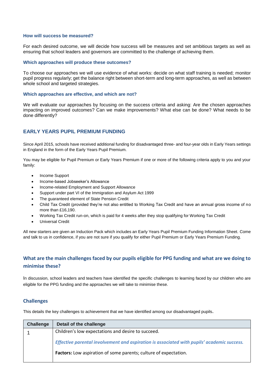#### **How will success be measured?**

For each desired outcome, we will decide how success will be measures and set ambitious targets as well as ensuring that school leaders and governors are committed to the challenge of achieving them.

#### **Which approaches will produce these outcomes?**

To choose our approaches we will use evidence of what works: decide on what staff training is needed; monitor pupil progress regularly; get the balance right between short-term and long-term approaches, as well as between whole school and targeted strategies.

#### **Which approaches are effective, and which are not?**

We will evaluate our approaches by focusing on the success criteria and asking: Are the chosen approaches impacting on improved outcomes? Can we make improvements? What else can be done? What needs to be done differently?

## **EARLY YEARS PUPIL PREMIUM FUNDING**

Since April 2015, schools have received additional funding for disadvantaged three- and four-year olds in Early Years settings in England in the form of the Early Years Pupil Premium.

You may be eligible for Pupil Premium or Early Years Premium if one or more of the following criteria apply to you and your family:

- Income Support
- Income-based Jobseeker's Allowance
- Income-related Employment and Support Allowance
- Support under part VI of the Immigration and Asylum Act 1999
- The guaranteed element of State Pension Credit
- Child Tax Credit (provided they're not also entitled to Working Tax Credit and have an annual gross income of no more than £16,190.
- Working Tax Credit run-on, which is paid for 4 weeks after they stop qualifying for Working Tax Credit
- Universal Credit

All new starters are given an Induction Pack which includes an Early Years Pupil Premium Funding Information Sheet. Come and talk to us in confidence, if you are not sure if you qualify for either Pupil Premium or Early Years Premium Funding.

## **What are the main challenges faced by our pupils eligible for PPG funding and what are we doing to minimise these?**

In discussion, school leaders and teachers have identified the specific challenges to learning faced by our children who are eligible for the PPG funding and the approaches we will take to minimise these.

#### **Challenges**

This details the key challenges to achievement that we have identified among our disadvantaged pupils.

| Challenge | Detail of the challenge                                                                    |
|-----------|--------------------------------------------------------------------------------------------|
|           | Children's low expectations and desire to succeed.                                         |
|           | Effective parental involvement and aspiration is associated with pupils' academic success. |
|           | <b>Factors:</b> Low aspiration of some parents; culture of expectation.                    |
|           |                                                                                            |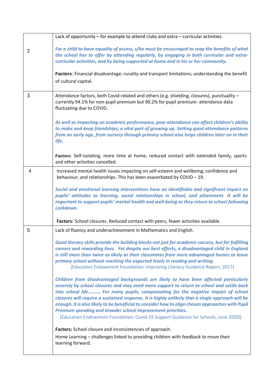|                | Lack of opportunity – for example to attend clubs and extra – curricular activities.                                                                                                                                                                                                                                                                                                                                                                                                                                                                                                                                                |
|----------------|-------------------------------------------------------------------------------------------------------------------------------------------------------------------------------------------------------------------------------------------------------------------------------------------------------------------------------------------------------------------------------------------------------------------------------------------------------------------------------------------------------------------------------------------------------------------------------------------------------------------------------------|
| $\overline{2}$ | For a child to have equality of access, s/he must be encouraged to reap the benefits of what<br>the school has to offer by attending regularly, by engaging in both curricular and extra-<br>curricular activities, and by being supported at home and in his or her community.                                                                                                                                                                                                                                                                                                                                                     |
|                | Factors: Financial disadvantage; rurality and transport limitations; understanding the benefit<br>of cultural capital.                                                                                                                                                                                                                                                                                                                                                                                                                                                                                                              |
| 3              | Attendance factors, both Covid-related and others (e.g. shielding, closures), punctuality -<br>currently 94.1% for non-pupil premium but 90.2% for pupil premium-attendance data<br>fluctuating due to COVID.                                                                                                                                                                                                                                                                                                                                                                                                                       |
|                | As well as impacting on academic performance, poor attendance can affect children's ability<br>to make and keep friendships; a vital part of growing up. Setting good attendance patterns<br>from an early age, from nursery through primary school also helps children later on in their<br>life.                                                                                                                                                                                                                                                                                                                                  |
|                | Factors: Self-isolating, more time at home, reduced contact with extended family, sports<br>and other activities cancelled.                                                                                                                                                                                                                                                                                                                                                                                                                                                                                                         |
| 4              | Increased mental health issues impacting on self-esteem and wellbeing; confidence and<br>behaviour; and relationships. This has been exacerbated by COVID - 19.                                                                                                                                                                                                                                                                                                                                                                                                                                                                     |
|                | Social and emotional learning interventions have an identifiable and significant impact on<br>pupils' attitudes to learning, social relationships in school, and attainment. It will be<br>important to support pupils' mental health and well-being as they return to school following<br>Lockdown.                                                                                                                                                                                                                                                                                                                                |
|                | Factors: School closures. Reduced contact with peers, fewer activities available.                                                                                                                                                                                                                                                                                                                                                                                                                                                                                                                                                   |
| 5              | Lack of fluency and underachievement in Mathematics and English.                                                                                                                                                                                                                                                                                                                                                                                                                                                                                                                                                                    |
|                | Good literacy skills provide the building blocks not just for academic success, but for fulfilling<br>careers and rewarding lives. Yet despite our best efforts, a disadvantaged child in England<br>is still more than twice as likely as their classmates from more advantaged homes to leave<br>primary school without reaching the expected levels in reading and writing.<br>(Education Endowment Foundation: Improving Literacy Guidance Report, 2017)                                                                                                                                                                        |
|                | Children from disadvantaged backgrounds are likely to have been affected particularly<br>severely by school closures and may need more support to return to school and settle back<br>into school life For many pupils, compensating for the negative impact of school<br>closures will require a sustained response. It is highly unlikely that a single approach will be<br>enough. It is also likely to be beneficial to consider how to align chosen approaches with Pupil<br>Premium spending and broader school improvement priorities.<br>(Education Endowment Foundation: Covid-19 Support Guidance for Schools, June 2020) |
|                |                                                                                                                                                                                                                                                                                                                                                                                                                                                                                                                                                                                                                                     |
|                | Factors: School closure and inconsistencies of approach.<br>Home Learning - challenges linked to providing children with feedback to move their<br>learning forward.                                                                                                                                                                                                                                                                                                                                                                                                                                                                |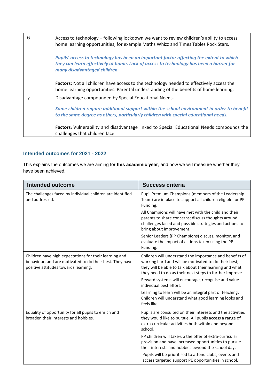| 6 | Access to technology – following lockdown we want to review children's ability to access<br>home learning opportunities, for example Maths Whizz and Times Tables Rock Stars.                                      |
|---|--------------------------------------------------------------------------------------------------------------------------------------------------------------------------------------------------------------------|
|   | Pupils' access to technology has been an important factor affecting the extent to which<br>they can learn effectively at home. Lack of access to technology has been a barrier for<br>many disadvantaged children. |
|   | <b>Factors:</b> Not all children have access to the technology needed to effectively access the<br>home learning opportunities. Parental understanding of the benefits of home learning.                           |
|   | Disadvantage compounded by Special Educational Needs.                                                                                                                                                              |
|   | Some children require additional support within the school environment in order to benefit<br>to the same degree as others, particularly children with special educational needs.                                  |
|   | <b>Factors:</b> Vulnerability and disadvantage linked to Special Educational Needs compounds the<br>challenges that children face.                                                                                 |

## **Intended outcomes for 2021 - 2022**

This explains the outcomes we are aiming for **this academic year**, and how we will measure whether they have been achieved.

| <b>Intended outcome</b>                                                                                                                                    | <b>Success criteria</b>                                                                                                                                                                                                                                                                                                |
|------------------------------------------------------------------------------------------------------------------------------------------------------------|------------------------------------------------------------------------------------------------------------------------------------------------------------------------------------------------------------------------------------------------------------------------------------------------------------------------|
| The challenges faced by individual children are identified<br>and addressed.                                                                               | Pupil Premium Champions (members of the Leadership<br>Team) are in place to support all children eligible for PP<br>Funding.                                                                                                                                                                                           |
|                                                                                                                                                            | All Champions will have met with the child and their<br>parents to share concerns; discuss thoughts around<br>challenges faced and possible strategies and actions to<br>bring about improvement.                                                                                                                      |
|                                                                                                                                                            | Senior Leaders (PP Champions) discuss, monitor, and<br>evaluate the impact of actions taken using the PP<br>Funding.                                                                                                                                                                                                   |
| Children have high expectations for their learning and<br>behaviour, and are motivated to do their best. They have<br>positive attitudes towards learning. | Children will understand the importance and benefits of<br>working hard and will be motivated to do their best;<br>they will be able to talk about their learning and what<br>they need to do as their next steps to further improve.<br>Reward systems will encourage, recognise and value<br>individual best effort. |
|                                                                                                                                                            | Learning to learn will be an integral part of teaching.<br>Children will understand what good learning looks and<br>feels like.                                                                                                                                                                                        |
| Equality of opportunity for all pupils to enrich and<br>broaden their interests and hobbies.                                                               | Pupils are consulted on their interests and the activities<br>they would like to pursue. All pupils access a range of<br>extra-curricular activities both within and beyond<br>school.                                                                                                                                 |
|                                                                                                                                                            | PP children will take-up the offer of extra-curricular<br>provision and have increased opportunities to pursue<br>their interests and hobbies beyond the school day.                                                                                                                                                   |
|                                                                                                                                                            | Pupils will be prioritised to attend clubs, events and<br>access targeted support PE opportunities in school.                                                                                                                                                                                                          |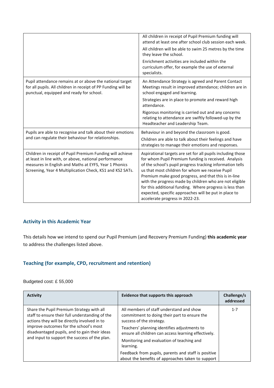|                                                                                                                                                                                                                                          | All children in receipt of Pupil Premium funding will<br>attend at least one after school club session each week.<br>All children will be able to swim 25 metres by the time<br>they leave the school.<br>Enrichment activities are included within the<br>curriculum offer, for example the use of external<br>specialists.                                                                                                                                                                                   |
|------------------------------------------------------------------------------------------------------------------------------------------------------------------------------------------------------------------------------------------|----------------------------------------------------------------------------------------------------------------------------------------------------------------------------------------------------------------------------------------------------------------------------------------------------------------------------------------------------------------------------------------------------------------------------------------------------------------------------------------------------------------|
| Pupil attendance remains at or above the national target<br>for all pupils. All children in receipt of PP Funding will be<br>punctual, equipped and ready for school.                                                                    | An Attendance Strategy is agreed and Parent Contact<br>Meetings result in improved attendance; children are in<br>school engaged and learning.<br>Strategies are in place to promote and reward high<br>attendance.<br>Rigorous monitoring is carried out and any concerns<br>relating to attendance are swiftly followed-up by the<br>Headteacher and Leadership Team.                                                                                                                                        |
| Pupils are able to recognise and talk about their emotions<br>and can regulate their behaviour for relationships.                                                                                                                        | Behaviour in and beyond the classroom is good.<br>Children are able to talk about their feelings and have<br>strategies to manage their emotions and responses.                                                                                                                                                                                                                                                                                                                                                |
| Children in receipt of Pupil Premium Funding will achieve<br>at least in line with, or above, national performance<br>measures in English and Maths at EYFS, Year 1 Phonics<br>Screening, Year 4 Multiplication Check, KS1 and KS2 SATs. | Aspirational targets are set for all pupils including those<br>for whom Pupil Premium funding is received. Analysis<br>of the school's pupil progress tracking information tells<br>us that most children for whom we receive Pupil<br>Premium make good progress, and that this is in-line<br>with the progress made by children who are not eligible<br>for this additional funding. Where progress is less than<br>expected, specific approaches will be put in place to<br>accelerate progress in 2022-23. |

## **Activity in this Academic Year**

This details how we intend to spend our Pupil Premium (and Recovery Premium Funding) **this academic year** to address the challenges listed above.

## **Teaching (for example, CPD, recruitment and retention)**

Budgeted cost: £ 55,000

| <b>Activity</b>                                                                                                                                                                                                                                                                          | Evidence that supports this approach                                                                                                                                                                                                                                                                                                                                                               | Challenge/s<br>addressed |
|------------------------------------------------------------------------------------------------------------------------------------------------------------------------------------------------------------------------------------------------------------------------------------------|----------------------------------------------------------------------------------------------------------------------------------------------------------------------------------------------------------------------------------------------------------------------------------------------------------------------------------------------------------------------------------------------------|--------------------------|
| Share the Pupil Premium Strategy with all<br>staff to ensure their full understanding of the<br>actions they will be directly involved in to<br>improve outcomes for the school's most<br>disadvantaged pupils, and to gain their ideas<br>and input to support the success of the plan. | All members of staff understand and show<br>commitment to doing their part to ensure the<br>success of the strategy.<br>Teachers' planning identifies adjustments to<br>ensure all children can access learning effectively.<br>Monitoring and evaluation of teaching and<br>learning.<br>Feedback from pupils, parents and staff is positive<br>about the benefits of approaches taken to support | $1 - 7$                  |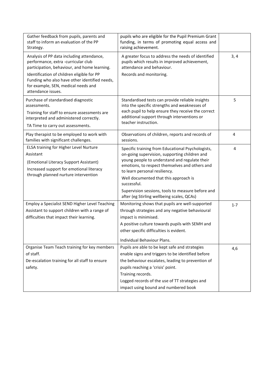| Gather feedback from pupils, parents and<br>staff to inform an evaluation of the PP<br>Strategy.                                                                                    | pupils who are eligible for the Pupil Premium Grant<br>funding, in terms of promoting equal access and<br>raising achievement.                                                                                                                                                                               |                |
|-------------------------------------------------------------------------------------------------------------------------------------------------------------------------------------|--------------------------------------------------------------------------------------------------------------------------------------------------------------------------------------------------------------------------------------------------------------------------------------------------------------|----------------|
| Analysis of PP data including attendance,<br>performance, extra -curricular club<br>participation, behaviour, and home learning.                                                    | A greater focus to address the needs of identified<br>pupils which results in improved achievement,<br>attendance and behaviour.                                                                                                                                                                             | 3, 4           |
| Identification of children eligible for PP<br>Funding who also have other identified needs,<br>for example, SEN, medical needs and<br>attendance issues.                            | Records and monitoring.                                                                                                                                                                                                                                                                                      |                |
| Purchase of standardised diagnostic<br>assessments.<br>Training for staff to ensure assessments are<br>interpreted and administered correctly.<br>TA Time to carry out assessments. | Standardised tests can provide reliable insights<br>into the specific strengths and weaknesses of<br>each pupil to help ensure they receive the correct<br>additional support through interventions or<br>teacher instruction.                                                                               | 5              |
| Play therapist to be employed to work with<br>families with significant challenges.                                                                                                 | Observations of children, reports and records of<br>sessions.                                                                                                                                                                                                                                                | $\overline{4}$ |
| ELSA training for Higher Level Nurture<br>Assistant<br>(Emotional Literacy Support Assistant)<br>Increased support for emotional literacy<br>through planned nurture intervention   | Specific training from Educational Psychologists,<br>on-going supervision, supporting children and<br>young people to understand and regulate their<br>emotions, to respect themselves and others and<br>to learn personal resiliency.<br>Well documented that this approach is<br>successful.               | 4              |
|                                                                                                                                                                                     | Supervision sessions, tools to measure before and<br>after (eg Stirling wellbeing scales, QCAs)                                                                                                                                                                                                              |                |
| Employ a Specialist SEND Higher Level Teaching<br>Assistant to support children with a range of<br>difficulties that impact their learning.                                         | Monitoring shows that pupils are well-supported<br>through strategies and any negative behavioural<br>impact is minimised.<br>A positive culture towards pupils with SEMH and<br>other specific difficulties is evident.<br>Individual Behaviour Plans.                                                      | $1 - 7$        |
| Organise Team Teach training for key members<br>of staff.<br>De-escalation training for all staff to ensure<br>safety.                                                              | Pupils are able to be kept safe and strategies<br>enable signs and triggers to be identified before<br>the behaviour escalates, leading to prevention of<br>pupils reaching a 'crisis' point.<br>Training records.<br>Logged records of the use of TT strategies and<br>impact using bound and numbered book | 4,6            |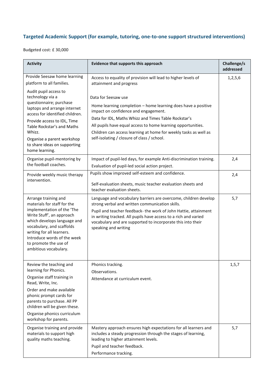# **Targeted Academic Support (for example, tutoring, one-to-one support structured interventions)**

Budgeted cost: £ 30,000

| <b>Activity</b>                                                                                                                                                                                                                                                                                | Evidence that supports this approach                                                                                                                                                                                                                                                                                                                                    | Challenge/s<br>addressed |
|------------------------------------------------------------------------------------------------------------------------------------------------------------------------------------------------------------------------------------------------------------------------------------------------|-------------------------------------------------------------------------------------------------------------------------------------------------------------------------------------------------------------------------------------------------------------------------------------------------------------------------------------------------------------------------|--------------------------|
| Provide Seesaw home learning<br>platform to all families.                                                                                                                                                                                                                                      | Access to equality of provision will lead to higher levels of<br>attainment and progress                                                                                                                                                                                                                                                                                | 1,2,5,6                  |
| Audit pupil access to<br>technology via a<br>questionnaire; purchase<br>laptops and arrange internet<br>access for identified children.<br>Provide access to IDL, Time<br>Table Rockstar's and Maths<br>Whizz.<br>Organise a parent workshop<br>to share ideas on supporting<br>home learning. | Data for Seesaw use<br>Home learning completion - home learning does have a positive<br>impact on confidence and engagement.<br>Data for IDL, Maths Whizz and Times Table Rockstar's<br>All pupils have equal access to home learning opportunities.<br>Children can access learning at home for weekly tasks as well as<br>self-isolating / closure of class / school. |                          |
| Organise pupil-mentoring by<br>the football coaches.                                                                                                                                                                                                                                           | Impact of pupil-led days, for example Anti-discrimination training.<br>Evaluation of pupil-led social action project.                                                                                                                                                                                                                                                   | 2,4                      |
| Provide weekly music therapy<br>intervention.                                                                                                                                                                                                                                                  | Pupils show improved self-esteem and confidence.<br>Self-evaluation sheets, music teacher evaluation sheets and<br>teacher evaluation sheets.                                                                                                                                                                                                                           | 2,4                      |
| Arrange training and<br>materials for staff for the<br>implementation of the 'The<br>Write Stuff', an approach<br>which develops language and<br>vocabulary, and scaffolds<br>writing for all learners.<br>Introduce words of the week<br>to promote the use of<br>ambitious vocabulary.       | Language and vocabulary barriers are overcome, children develop<br>strong verbal and written communication skills.<br>Pupil and teacher feedback- the work of John Hattie, attainment<br>in writing tracked. All pupils have access to a rich and varied<br>vocabulary and are supported to incorporate this into their<br>speaking and writing                         | 5,7                      |
| Review the teaching and<br>learning for Phonics.<br>Organise staff training in<br>Read, Write, Inc.<br>Order and make available<br>phonic prompt cards for<br>parents to purchase. All PP<br>children will be given these.<br>Organise phonics curriculum<br>workshop for parents.             | Phonics tracking.<br>Observations.<br>Attendance at curriculum event.                                                                                                                                                                                                                                                                                                   | 1, 5, 7                  |
| Organise training and provide<br>materials to support high<br>quality maths teaching.                                                                                                                                                                                                          | Mastery approach ensures high expectations for all learners and<br>includes a steady progression through the stages of learning,<br>leading to higher attainment levels.<br>Pupil and teacher feedback.<br>Performance tracking.                                                                                                                                        | 5,7                      |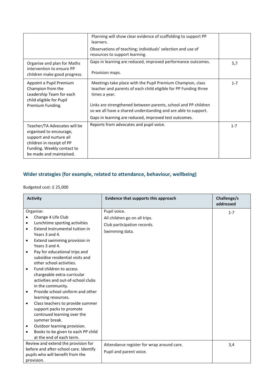|                                                                                                                                                                          | Planning will show clear evidence of scaffolding to support PP<br>learners.<br>Observations of teaching; individuals' selection and use of<br>resources to support learning.                                                                                                                                                                |         |
|--------------------------------------------------------------------------------------------------------------------------------------------------------------------------|---------------------------------------------------------------------------------------------------------------------------------------------------------------------------------------------------------------------------------------------------------------------------------------------------------------------------------------------|---------|
| Organise and plan for Maths<br>intervention to ensure PP<br>children make good progress.                                                                                 | Gaps in learning are reduced, improved performance outcomes.<br>Provision maps.                                                                                                                                                                                                                                                             | 5,7     |
| Appoint a Pupil Premium<br>Champion from the<br>Leadership Team for each<br>child eligible for Pupil<br>Premium Funding.                                                 | Meetings take place with the Pupil Premium Champion, class<br>teacher and parents of each child eligible for PP Funding three<br>times a year.<br>Links are strengthened between parents, school and PP children<br>so we all have a shared understanding and are able to support.<br>Gaps in learning are reduced, improved test outcomes. | $1 - 7$ |
| Teacher/TA Advocates will be<br>organised to encourage,<br>support and nurture all<br>children in receipt of PP<br>Funding. Weekly contact to<br>be made and maintained. | Reports from advocates and pupil voice.                                                                                                                                                                                                                                                                                                     | $1 - 7$ |

## **Wider strategies (for example, related to attendance, behaviour, wellbeing)**

Budgeted cost: £ 25,000

| <b>Activity</b>                                 | Evidence that supports this approach      | Challenge/s<br>addressed |
|-------------------------------------------------|-------------------------------------------|--------------------------|
| Organise:                                       | Pupil voice.                              | $1 - 7$                  |
| Change 4 Life Club                              | All children go on all trips.             |                          |
| Lunchtime sporting activities<br>$\bullet$      | Club participation records.               |                          |
| Extend instrumental tuition in<br>$\bullet$     | Swimming data.                            |                          |
| Years 3 and 4.                                  |                                           |                          |
| Extend swimming provision in<br>$\bullet$       |                                           |                          |
| Years 3 and 4.                                  |                                           |                          |
| Pay for educational trips and<br>$\bullet$      |                                           |                          |
| subsidise residential visits and                |                                           |                          |
| other school activities.                        |                                           |                          |
| Fund children to access<br>$\bullet$            |                                           |                          |
| chargeable extra-curricular                     |                                           |                          |
| activities and out-of-school clubs              |                                           |                          |
| in the community.                               |                                           |                          |
| Provide school uniform and other<br>$\bullet$   |                                           |                          |
| learning resources.                             |                                           |                          |
| Class teachers to provide summer<br>$\bullet$   |                                           |                          |
| support packs to promote                        |                                           |                          |
| continued learning over the                     |                                           |                          |
| summer break.                                   |                                           |                          |
| Outdoor learning provision.<br>$\bullet$        |                                           |                          |
| Books to be given to each PP child<br>$\bullet$ |                                           |                          |
| at the end of each term.                        |                                           |                          |
| Review and extend the provision for             | Attendance register for wrap around care. | 3,4                      |
| before and after-school care. Identify          | Pupil and parent voice.                   |                          |
| pupils who will benefit from the                |                                           |                          |
| provision.                                      |                                           |                          |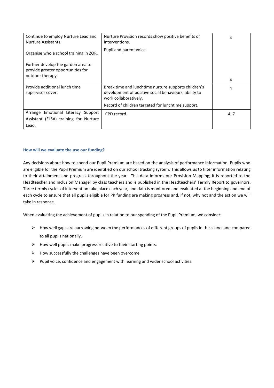| Continue to employ Nurture Lead and<br>Nurture Assistants.                                  | Nurture Provision records show positive benefits of<br>interventions.                                                                                                                        | 4    |
|---------------------------------------------------------------------------------------------|----------------------------------------------------------------------------------------------------------------------------------------------------------------------------------------------|------|
| Organise whole school training in ZOR.                                                      | Pupil and parent voice.                                                                                                                                                                      |      |
| Further develop the garden area to<br>provide greater opportunities for<br>outdoor therapy. |                                                                                                                                                                                              |      |
|                                                                                             |                                                                                                                                                                                              | 4    |
| Provide additional lunch time<br>supervisor cover.                                          | Break time and lunchtime nurture supports children's<br>development of positive social behaviours, ability to<br>work collaboratively.<br>Record of children targeted for lunchtime support. | 4    |
| Arrange Emotional Literacy Support<br>Assistant (ELSA) training for Nurture<br>Lead.        | CPD record.                                                                                                                                                                                  | 4, 7 |

#### **How will we evaluate the use our funding?**

Any decisions about how to spend our Pupil Premium are based on the analysis of performance information. Pupils who are eligible for the Pupil Premium are identified on our school tracking system. This allows us to filter information relating to their attainment and progress throughout the year. This data informs our Provision Mapping; it is reported to the Headteacher and Inclusion Manager by class teachers and is published in the Headteachers' Termly Report to governors. Three termly cycles of intervention take place each year, and data is monitored and evaluated at the beginning and end of each cycle to ensure that all pupils eligible for PP funding are making progress and, if not, why not and the action we will take in response.

When evaluating the achievement of pupils in relation to our spending of the Pupil Premium, we consider:

- ➢ How well gaps are narrowing between the performances of different groups of pupils in the school and compared to all pupils nationally.
- $\triangleright$  How well pupils make progress relative to their starting points.
- $\triangleright$  How successfully the challenges have been overcome
- ➢ Pupil voice, confidence and engagement with learning and wider school activities.